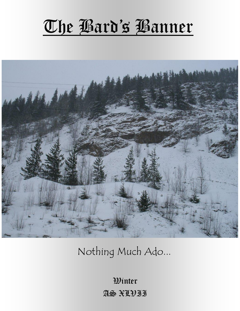# The Bard's Banner



Nothing Much Ado...

Winter AS XLVII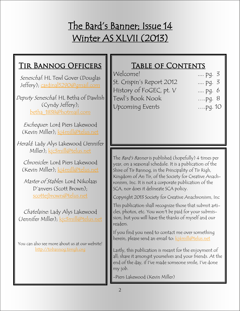# The Bard's Banner; Issue 14 Winter AS XLVII (2013)

# Tir Bannog Officers

Seneschal: HL Tewl Gover (Douglas Jeffery); [cardinal5290@gmail.com](mailto:cardinal5290@gmail.com)

Deputy Seneschal: HL Betha of Dawlish (Cyndy Jeffery); [betha\\_1838@hotmail.com](mailto:betha_1838@hotmail.com)

Exchequer: Lord Piers Lakewood (Kevin Miller); [kj4mill@telus.net](mailto:kj4mill@telus.net)

Herald: Lady Alys Lakewood (Jennifer Miller); [kjc3mill@telus.net](mailto:kjc3mill@telus.net)

Chronicler: Lord Piers Lakewood (Kevin Miller); [kj4mill@telus.net](mailto:kj4mill@telus.net)

Master of Stables: Lord Nikolaas D'anvers (Scott Brown); [scottejbrown@telus.net](mailto:scottejbrown@telus.net)

Chatelaine: Lady Alys Lakewood (Jennifer Miller); [kjc3mill@telus.net](mailto:kjc3mill@telus.net)

You can also see more about us at our website! <http://tirbannog.tirrigh.org>

# TABLE OF CONTENTS

| Welcome!                  | $pq. 3$    |
|---------------------------|------------|
| St. Crispin's Report 2012 | $pq. 3$    |
| History of FoGEC, pt. V   | $pq. 6$    |
| Tewl's Book Nook          | ,pq.8      |
| <b>Upcoming Events</b>    | $,$ pq. 10 |

The *Bard's Banner* is published (hopefully) 4 times per year, on a seasonal schedule. It is a publication of the Shire of Tir Bannog, in the Principality of Tir Righ, Kingdom of An Tir, of the Society for Creative Anachronism, Inc. It is not a corporate publication of the SCA, nor does it delineate SCA policy.

Copyright 2013 Society for Creative Anachronism, Inc

This publication shall recognize those that submit articles, photos, etc. You won't be paid for your submission, but you will have the thanks of myself and our readers.

If you find you need to contact me over something herein, please send an email to: ki4mill@telus.net

Lastly, this publication is meant for the enjoyment of all; share it amongst yourselves and your friends. At the end of the day, if I've made someone smile, I've done my job.

-Piers Lakewood (Kevin Miller)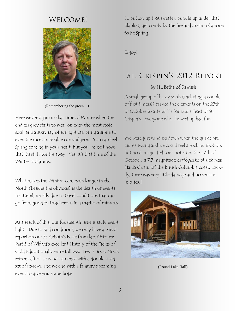# Welcome!



(Remembering the green…)

Here we are again in that time of Winter when the endless grey starts to wear on even the most stoic soul, and a stray ray of sunlight can bring a smile to even the most miserable curmudgeon. You can feel Spring coming in your heart, but your mind knows that it's still months away. Yes, it's that time of the Winter Doldrums.

What makes the Winter seem even longer in the North (besides the obvious) is the dearth of events to attend, mostly due to travel conditions that can go from good to treacherous in a matter of minutes.

As a result of this, our fourteenth issue is sadly event light. Due to said conditions, we only have a partial report on our St. Crispin's Feast from late October. Part 5 of Wlfryd's excellent History of the Fields of Gold Educational Centre follows. Tewl's Book Nook returns after last issue's absence with a double sized set of reviews, and we end with a faraway upcoming event to give you some hope.

So button up that sweater, bundle up under that blanket, get comfy by the fire and dream of a soon to be Spring!

Enjoy!

# St. Crispin's 2012 Report

#### By HL Betha of Dawlish

A small group of hardy souls (including a couple of first timers!) braved the elements on the 27th of October to attend Tir Bannog's Feast of St. Crispin's. Everyone who showed up had fun.

We were just winding down when the quake hit. Lights swung and we could feel a rocking motion, but no damage. [editor's note: On the 27th of October, a 7.7 magnitude earthquake struck near Haida Gwaii, off the British Columbia coast. Luckily, there was very little damage and no serious injuries.]



(Round Lake Hall)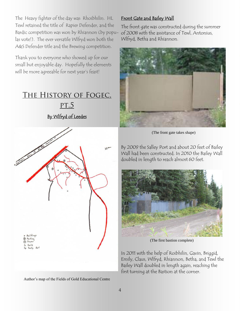The Heavy fighter of the day was Rhoibhilin. HL Tewl retained the title of Rapier Defender, and the Bardic competition was won by Rhiannon (by populas vote!). The ever versatile Wlfryd won both the A&S Defender title and the Brewing competition.

Thank you to everyone who showed up for our small but enjoyable day. Hopefully the elements will be more agreeable for next year's feast!

# The History of Fogec,

By Wlfryd of Leedes

pt.5



Author's map of the Fields of Gold Educational Centre

#### Front Gate and Bailey Wall

The front gate was constructed during the summer of 2008 with the assistance of Tewl, Antonius, Wlfryd, Betha and Rhiannon.



(The front gate takes shape)

By 2009 the Salley Port and about 20 feet of Bailey Wall had been constructed. In 2010 the Bailey Wall doubled in length to reach almost 60 feet.



(The first bastion complete)

In 2011 with the help of Roibhilin, Gavin, Briggid, Emily, Claus, Wlfryd, Rhiannon, Betha, and Tewl the Bailey Wall doubled in length again, reaching the first turning at the Bastion at the corner.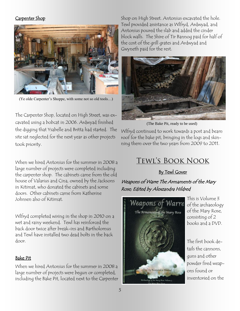#### Carpenter Shop



(Ye olde Carpenter's Shoppe, with some not so old tools…)

The Carpenter Shop, located on High Street, was excavated using a bobcat in 2006. Ardwyad finished the digging that Ysabelle and Britta had started. The site sat neglected for the next year as other projects took priority.

When we hired Antonius for the summer in 2008 a large number of projects were completed including the carpenter shop. The cabinets came from the old house of Valarius and Cina, owned by the Jacksons in Kitimat, who donated the cabinets and some doors. Other cabinets came from Katherine Johnsen also of Kitimat.

Wlfryd completed wiring in the shop in 2010 on a wet and rainy weekend. Tewl has reinforced the back door twice after break-ins and Bartholomus and Tewl have installed two dead bolts in the back door.

#### Bake Pit

When we hired Antonius for the summer in 2008 a large number of projects were begun or completed, including the Bake Pit, located next to the Carpenter

Shop on High Street. Antonius excavated the hole. Tewl provided assistance as Wlfryd, Ardwyad, and Antonius poured the slab and added the cinder block walls. The Shire of Tir Bannog paid for half of the cost of the grill grates and Ardwyad and Gwyneth paid for the rest.



(The Bake Pit, ready to be used)

Wlfryd continued to work towards a post and beam roof for the bake pit, bringing in the logs and skinning them over the two years from 2009 to 2011.

# Tewl's Book Nook

#### By Tewl Gover

#### Weapons of Warre The Armaments of the Mary Rose; Edited by Alexzandra Hildred



This is Volume 3 of the archaeology of the Mary Rose, consisting of 2 books and a DVD.

The first book details the cannons, guns and other powder fired weapons found or inventoried on the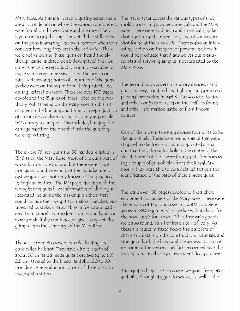Mary Rose. As this is a museum quality series, there are a lot of details on where the various cannons etc. were found on the wreck site and the most likely layout on board the ship. The detail that still exists on the guns is amazing and even more so when you consider how long they sat in the salt water. There were both iron and 'brass' guns on board and although earlier archaeologists downplayed the iron guns as relics the reproduction cannon was able to make some very impressive shots. The book contains sketches and photos of a number of the guns as they were on the sea bottom, being raised, and during restoration work. There are over 100 pages devoted to the 15 guns of 'brass' listed on the Anthony Roll as being on the Mary Rose. In this is a chapter on the building and firing of a reproduction of a main deck culverin using as closely as possible  $16<sup>th</sup>$  century techniques. This included building the carriage based on the one that held the gun they were reproducing.

There were 76 iron guns and 50 handguns listed in 1546 as on the Mary Rose. Most of the guns were of wrought iron construction but there were 4 cast iron guns found proving that the manufacture of cast weapons was not only known of but practiced In England by then. The 160 pages dealing with the wrought iron guns have information of all the guns recovered including the markings on them that could include their weight and maker. Sketches, pictures, radiographs, charts, tables, information gathered from period and modern sources and hands on work are skillfully combined to give a very detailed glimpse into the cannonry of the Mary Rose.

The 4 cast iron pieces were muzzle-loading small guns called hailshot. They have a bore length of about 30 cm and a rectangular bore averaging 6 X 2.5 cm, tapered to the breech and shot 20 to 30 iron dice. A reproduction of one of these was also made and test fired.

The last chapter covers the various types of shot, molds, tools, and powder carried aboard the Mary Rose. There were both iron and stone balls, spike shot, canister and lantern shot, and of course dice shot found at the wreck site. There is also an interesting section on the types of powder and how it would be produced that draws on various manuscripts and surviving samples, not restricted to the Mary Rose.

The second book covers Incendiary devices, handguns, archery, hand to hand fighting, and armour & personal protection in part 3. Part 4 covers tactics and other conjecture based on the artifacts found and other information gathered from known sources.

One of the most interesting devices found has to be the gun-shield. These were round shields that were strapped to the forearm and incorporated a small gun that fired through a hole in the center of the shield. Several of these were found and after borrowing a couple of gun-shields from the Royal Armoury they were able to do a detailed analysis and identification of the parts of these unique guns.

There are over 130 pages devoted to the archery equipment and archers of the Mary Rose. There were the remains of 172 longbows and 2303 complete arrows (7834 fragments), together with 4 chests for the bows and 7 for arrows. 22 leather wrist guards were also found, plus 1 of horn and 1 of ivory. As these are museum based books there are lots of charts and details on the construction, materials, and storage of both the bows and the arrows. It also covers some of the personal artifacts recovered near the skeletal remains that have been identified as archers.

The hand to hand section covers weapons from pikes and bills, through daggers to swords, as well as the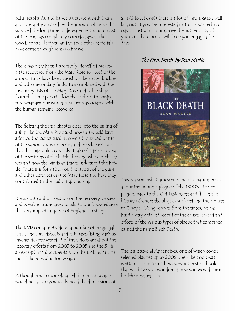belts, scabbards, and hangers that went with them. I am constantly amazed by the amount of items that survived the long time underwater. Although most of the iron has completely corroded away, the wood, copper, leather, and various other materials have come through remarkably well.

There has only been 1 positively identified breastplate recovered from the Mary Rose so most of the armour finds have been based on the straps, buckles, and other secondary finds. This combined with the inventory lists of the Mary Rose and other ships from the same period allow the authors to conjecture what armour would have been associated with the human remains recovered.

The fighting the ship chapter goes into the sailing of a ship like the Mary Rose and how this would have affected the tactics used. It covers the spread of fire of the various guns on board and possible reasons that the ship sank so quickly. It also diagrams several of the sections of the battle showing where each side was and how the winds and tides influenced the battle. There is information on the layout of the guns and other defences on the Mary Rose and how they contributed to the Tudor fighting ship.

It ends with a short section on the recovery process and possible future dives to add to our knowledge of this very important piece of England's history.

The DVD contains 3 videos, a number of image galleries, and spreadsheets and databases listing various inventories recovered. 2 of the videos are about the recovery efforts from 2003 to 2005 and the 3rd is an excerpt of a documentary on the making and firing of the reproduction weapons.

Although much more detailed than most people would need, (do you really need the dimensions of all 172 longbows?) there is a lot of information well laid out. If you are interested in Tudor war technology or just want to improve the authenticity of your kit, these books will keep you engaged for days.

#### The Black Death by Sean Martin



This is a somewhat gruesome, but fascinating book about the bubonic plague of the 1300's. It traces plagues back to the Old Testament and fills in the history of where the plagues surfaced and their route to Europe. Using reports from the times, he has built a very detailed record of the causes, spread and effects of the various types of plague that combined, earned the name Black Death.

There are several Appendixes, one of which covers selected plagues up to 2006 when the book was written. This is a small but very interesting book that will have you wondering how you would fair if health standards slip.